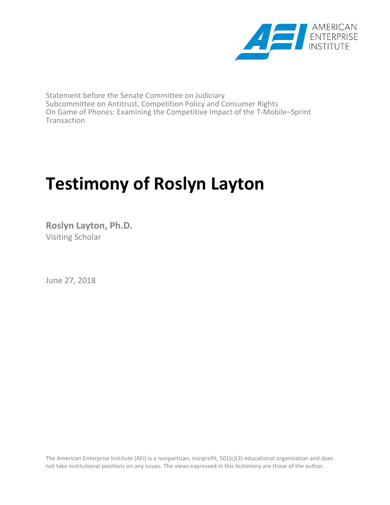

Statement before the Senate Committee on Judiciary Subcommittee on Antitrust, Competition Policy and Consumer Rights On Game of Phones: Examining the Competitive Impact of the T-Mobile–Sprint **Transaction** 

# **Testimony of Roslyn Layton**

**Roslyn Layton, Ph.D.** Visiting Scholar

June 27, 2018

The American Enterprise Institute (AEI) is a nonpartisan, nonprofit, 501(c)(3) educational organization and does not take institutional positions on any issues. The views expressed in this testimony are those of the author.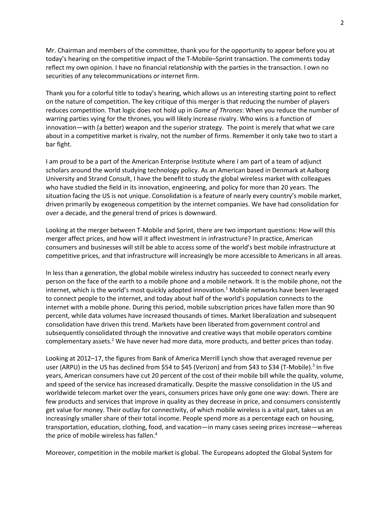Mr. Chairman and members of the committee, thank you for the opportunity to appear before you at today's hearing on the competitive impact of the T-Mobile–Sprint transaction. The comments today reflect my own opinion. I have no financial relationship with the parties in the transaction. I own no securities of any telecommunications or internet firm.

Thank you for a colorful title to today's hearing, which allows us an interesting starting point to reflect on the nature of competition. The key critique of this merger is that reducing the number of players reduces competition. That logic does not hold up in *Game of Thrones*: When you reduce the number of warring parties vying for the thrones, you will likely increase rivalry. Who wins is a function of innovation—with (a better) weapon and the superior strategy. The point is merely that what we care about in a competitive market is rivalry, not the number of firms. Remember it only take two to start a bar fight.

I am proud to be a part of the American Enterprise Institute where I am part of a team of adjunct scholars around the world studying technology policy. As an American based in Denmark at Aalborg University and Strand Consult, I have the benefit to study the global wireless market with colleagues who have studied the field in its innovation, engineering, and policy for more than 20 years. The situation facing the US is not unique. Consolidation is a feature of nearly every country's mobile market, driven primarily by exogeneous competition by the internet companies. We have had consolidation for over a decade, and the general trend of prices is downward.

Looking at the merger between T-Mobile and Sprint, there are two important questions: How will this merger affect prices, and how will it affect investment in infrastructure? In practice, American consumers and businesses will still be able to access some of the world's best mobile infrastructure at competitive prices, and that infrastructure will increasingly be more accessible to Americans in all areas.

In less than a generation, the global mobile wireless industry has succeeded to connect nearly every person on the face of the earth to a mobile phone and a mobile network. It is the mobile phone, not the internet, which is the world's most quickly adopted innovation.<sup>1</sup> Mobile networks have been leveraged to connect people to the internet, and today about half of the world's population connects to the internet with a mobile phone. During this period, mobile subscription prices have fallen more than 90 percent, while data volumes have increased thousands of times. Market liberalization and subsequent consolidation have driven this trend. Markets have been liberated from government control and subsequently consolidated through the innovative and creative ways that mobile operators combine complementary assets.<sup>2</sup> We have never had more data, more products, and better prices than today.

Looking at 2012–17, the figures from Bank of America Merrill Lynch show that averaged revenue per user (ARPU) in the US has declined from \$54 to \$45 (Verizon) and from \$43 to \$34 (T-Mobile).<sup>3</sup> In five years, American consumers have cut 20 percent of the cost of their mobile bill while the quality, volume, and speed of the service has increased dramatically. Despite the massive consolidation in the US and worldwide telecom market over the years, consumers prices have only gone one way: down. There are few products and services that improve in quality as they decrease in price, and consumers consistently get value for money. Their outlay for connectivity, of which mobile wireless is a vital part, takes us an increasingly smaller share of their total income. People spend more as a percentage each on housing, transportation, education, clothing, food, and vacation—in many cases seeing prices increase—whereas the price of mobile wireless has fallen.<sup>4</sup>

Moreover, competition in the mobile market is global. The Europeans adopted the Global System for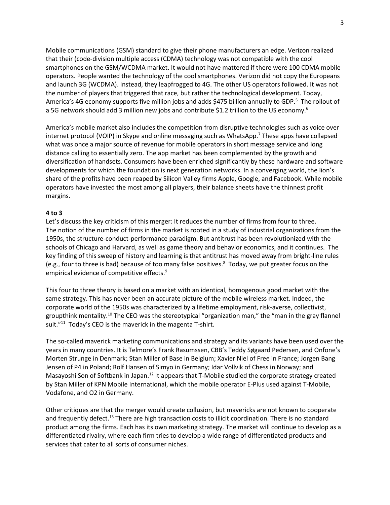Mobile communications (GSM) standard to give their phone manufacturers an edge. Verizon realized that their (code-division multiple access (CDMA) technology was not compatible with the cool smartphones on the GSM/WCDMA market. It would not have mattered if there were 100 CDMA mobile operators. People wanted the technology of the cool smartphones. Verizon did not copy the Europeans and launch 3G (WCDMA). Instead, they leapfrogged to 4G. The other US operators followed. It was not the number of players that triggered that race, but rather the technological development. Today, America's 4G economy supports five million jobs and adds \$475 billion annually to GDP.<sup>5</sup> The rollout of a 5G network should add 3 million new jobs and contribute \$1.2 trillion to the US economy.<sup>6</sup>

America's mobile market also includes the competition from disruptive technologies such as voice over internet protocol (VOIP) in Skype and online messaging such as WhatsApp.<sup>7</sup> These apps have collapsed what was once a major source of revenue for mobile operators in short message service and long distance calling to essentially zero. The app market has been complemented by the growth and diversification of handsets. Consumers have been enriched significantly by these hardware and software developments for which the foundation is next generation networks. In a converging world, the lion's share of the profits have been reaped by Silicon Valley firms Apple, Google, and Facebook. While mobile operators have invested the most among all players, their balance sheets have the thinnest profit margins.

#### **4 to 3**

Let's discuss the key criticism of this merger: It reduces the number of firms from four to three. The notion of the number of firms in the market is rooted in a study of industrial organizations from the 1950s, the structure-conduct-performance paradigm. But antitrust has been revolutionized with the schools of Chicago and Harvard, as well as game theory and behavior economics, and it continues. The key finding of this sweep of history and learning is that antitrust has moved away from bright-line rules (e.g., four to three is bad) because of too many false positives. $8$  Today, we put greater focus on the empirical evidence of competitive effects.<sup>9</sup>

This four to three theory is based on a market with an identical, homogenous good market with the same strategy. This has never been an accurate picture of the mobile wireless market. Indeed, the corporate world of the 1950s was characterized by a lifetime employment, risk-averse, collectivist, groupthink mentality.<sup>10</sup> The CEO was the stereotypical "organization man," the "man in the gray flannel suit."<sup>11</sup> Today's CEO is the maverick in the magenta T-shirt.

The so-called maverick marketing communications and strategy and its variants have been used over the years in many countries. It is Telmore's Frank Rasumssen, CBB's Teddy Søgaard Pedersen, and Onfone's Morten Strunge in Denmark; Stan Miller of Base in Belgium; Xavier Niel of Free in France; Jorgen Bang Jensen of P4 in Poland; Rolf Hansen of Simyo in Germany; Idar Vollvik of Chess in Norway; and Masayoshi Son of Softbank in Japan.<sup>12</sup> It appears that T-Mobile studied the corporate strategy created by Stan Miller of KPN Mobile International, which the mobile operator E-Plus used against T-Mobile, Vodafone, and O2 in Germany.

Other critiques are that the merger would create collusion, but mavericks are not known to cooperate and frequently defect.<sup>13</sup> There are high transaction costs to illicit coordination. There is no standard product among the firms. Each has its own marketing strategy. The market will continue to develop as a differentiated rivalry, where each firm tries to develop a wide range of differentiated products and services that cater to all sorts of consumer niches.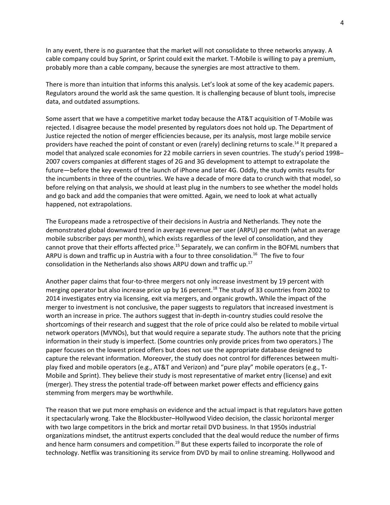In any event, there is no guarantee that the market will not consolidate to three networks anyway. A cable company could buy Sprint, or Sprint could exit the market. T-Mobile is willing to pay a premium, probably more than a cable company, because the synergies are most attractive to them.

There is more than intuition that informs this analysis. Let's look at some of the key academic papers. Regulators around the world ask the same question. It is challenging because of blunt tools, imprecise data, and outdated assumptions.

Some assert that we have a competitive market today because the AT&T acquisition of T-Mobile was rejected. I disagree because the model presented by regulators does not hold up. The Department of Justice rejected the notion of merger efficiencies because, per its analysis, most large mobile service providers have reached the point of constant or even (rarely) declining returns to scale.<sup>14</sup> It prepared a model that analyzed scale economies for 22 mobile carriers in seven countries. The study's period 1998– 2007 covers companies at different stages of 2G and 3G development to attempt to extrapolate the future—before the key events of the launch of iPhone and later 4G. Oddly, the study omits results for the incumbents in three of the countries. We have a decade of more data to crunch with that model, so before relying on that analysis, we should at least plug in the numbers to see whether the model holds and go back and add the companies that were omitted. Again, we need to look at what actually happened, not extrapolations.

The Europeans made a retrospective of their decisions in Austria and Netherlands. They note the demonstrated global downward trend in average revenue per user (ARPU) per month (what an average mobile subscriber pays per month), which exists regardless of the level of consolidation, and they cannot prove that their efforts affected price.<sup>15</sup> Separately, we can confirm in the BOFML numbers that ARPU is down and traffic up in Austria with a four to three consolidation.<sup>16</sup> The five to four consolidation in the Netherlands also shows ARPU down and traffic up.<sup>17</sup>

Another paper claims that four-to-three mergers not only increase investment by 19 percent with merging operator but also increase price up by 16 percent.<sup>18</sup> The study of 33 countries from 2002 to 2014 investigates entry via licensing, exit via mergers, and organic growth**.** While the impact of the merger to investment is not conclusive, the paper suggests to regulators that increased investment is worth an increase in price. The authors suggest that in-depth in-country studies could resolve the shortcomings of their research and suggest that the role of price could also be related to mobile virtual network operators (MVNOs), but that would require a separate study. The authors note that the pricing information in their study is imperfect. (Some countries only provide prices from two operators.) The paper focuses on the lowest priced offers but does not use the appropriate database designed to capture the relevant information. Moreover, the study does not control for differences between multiplay fixed and mobile operators (e.g., AT&T and Verizon) and "pure play" mobile operators (e.g., T-Mobile and Sprint). They believe their study is most representative of market entry (license) and exit (merger). They stress the potential trade-off between market power effects and efficiency gains stemming from mergers may be worthwhile.

The reason that we put more emphasis on evidence and the actual impact is that regulators have gotten it spectacularly wrong. Take the Blockbuster–Hollywood Video decision, the classic horizontal merger with two large competitors in the brick and mortar retail DVD business. In that 1950s industrial organizations mindset, the antitrust experts concluded that the deal would reduce the number of firms and hence harm consumers and competition.<sup>19</sup> But these experts failed to incorporate the role of technology. Netflix was transitioning its service from DVD by mail to online streaming. Hollywood and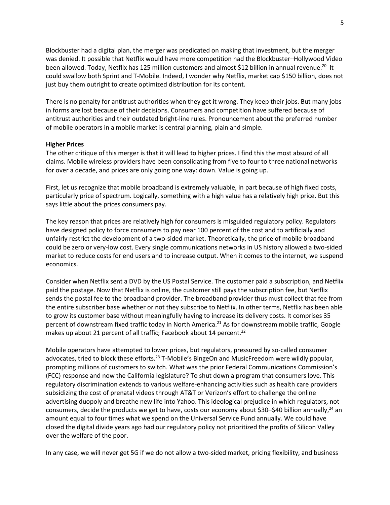Blockbuster had a digital plan, the merger was predicated on making that investment, but the merger was denied. It possible that Netflix would have more competition had the Blockbuster–Hollywood Video been allowed. Today, Netflix has 125 million customers and almost \$12 billion in annual revenue.<sup>20</sup> It could swallow both Sprint and T-Mobile. Indeed, I wonder why Netflix, market cap \$150 billion, does not just buy them outright to create optimized distribution for its content.

There is no penalty for antitrust authorities when they get it wrong. They keep their jobs. But many jobs in forms are lost because of their decisions. Consumers and competition have suffered because of antitrust authorities and their outdated bright-line rules. Pronouncement about the preferred number of mobile operators in a mobile market is central planning, plain and simple.

#### **Higher Prices**

The other critique of this merger is that it will lead to higher prices. I find this the most absurd of all claims. Mobile wireless providers have been consolidating from five to four to three national networks for over a decade, and prices are only going one way: down. Value is going up.

First, let us recognize that mobile broadband is extremely valuable, in part because of high fixed costs, particularly price of spectrum. Logically, something with a high value has a relatively high price. But this says little about the prices consumers pay.

The key reason that prices are relatively high for consumers is misguided regulatory policy. Regulators have designed policy to force consumers to pay near 100 percent of the cost and to artificially and unfairly restrict the development of a two-sided market. Theoretically, the price of mobile broadband could be zero or very-low cost. Every single communications networks in US history allowed a two-sided market to reduce costs for end users and to increase output. When it comes to the internet, we suspend economics.

Consider when Netflix sent a DVD by the US Postal Service. The customer paid a subscription, and Netflix paid the postage. Now that Netflix is online, the customer still pays the subscription fee, but Netflix sends the postal fee to the broadband provider. The broadband provider thus must collect that fee from the entire subscriber base whether or not they subscribe to Netflix. In other terms, Netflix has been able to grow its customer base without meaningfully having to increase its delivery costs. It comprises 35 percent of downstream fixed traffic today in North America.<sup>21</sup> As for downstream mobile traffic, Google makes up about 21 percent of all traffic; Facebook about 14 percent.<sup>22</sup>

Mobile operators have attempted to lower prices, but regulators, pressured by so-called consumer advocates, tried to block these efforts.<sup>23</sup> T-Mobile's BingeOn and MusicFreedom were wildly popular, prompting millions of customers to switch. What was the prior Federal Communications Commission's (FCC) response and now the California legislature? To shut down a program that consumers love. This regulatory discrimination extends to various welfare-enhancing activities such as health care providers subsidizing the cost of prenatal videos through AT&T or Verizon's effort to challenge the online advertising duopoly and breathe new life into Yahoo. This ideological prejudice in which regulators, not consumers, decide the products we get to have, costs our economy about \$30–\$40 billion annually,<sup>24</sup> an amount equal to four times what we spend on the Universal Service Fund annually. We could have closed the digital divide years ago had our regulatory policy not prioritized the profits of Silicon Valley over the welfare of the poor.

In any case, we will never get 5G if we do not allow a two-sided market, pricing flexibility, and business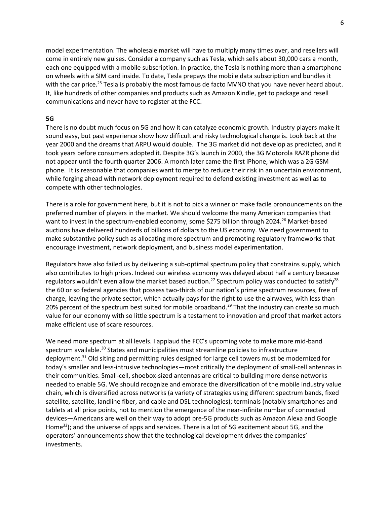model experimentation. The wholesale market will have to multiply many times over, and resellers will come in entirely new guises. Consider a company such as Tesla, which sells about 30,000 cars a month, each one equipped with a mobile subscription. In practice, the Tesla is nothing more than a smartphone on wheels with a SIM card inside. To date, Tesla prepays the mobile data subscription and bundles it with the car price.<sup>25</sup> Tesla is probably the most famous de facto MVNO that you have never heard about. It, like hundreds of other companies and products such as Amazon Kindle, get to package and resell communications and never have to register at the FCC.

### **5G**

There is no doubt much focus on 5G and how it can catalyze economic growth. Industry players make it sound easy, but past experience show how difficult and risky technological change is. Look back at the year 2000 and the dreams that ARPU would double. The 3G market did not develop as predicted, and it took years before consumers adopted it. Despite 3G's launch in 2000, the 3G Motorola RAZR phone did not appear until the fourth quarter 2006. A month later came the first iPhone, which was a 2G GSM phone. It is reasonable that companies want to merge to reduce their risk in an uncertain environment, while forging ahead with network deployment required to defend existing investment as well as to compete with other technologies.

There is a role for government here, but it is not to pick a winner or make facile pronouncements on the preferred number of players in the market. We should welcome the many American companies that want to invest in the spectrum-enabled economy, some \$275 billion through 2024.<sup>26</sup> Market-based auctions have delivered hundreds of billions of dollars to the US economy. We need government to make substantive policy such as allocating more spectrum and promoting regulatory frameworks that encourage investment, network deployment, and business model experimentation.

Regulators have also failed us by delivering a sub-optimal spectrum policy that constrains supply, which also contributes to high prices. Indeed our wireless economy was delayed about half a century because regulators wouldn't even allow the market based auction.<sup>27</sup> Spectrum policy was conducted to satisfy<sup>28</sup> the 60 or so federal agencies that possess two-thirds of our nation's prime spectrum resources, free of charge, leaving the private sector, which actually pays for the right to use the airwaves, with less than 20% percent of the spectrum best suited for mobile broadband.<sup>29</sup> That the industry can create so much value for our economy with so little spectrum is a testament to innovation and proof that market actors make efficient use of scare resources.

We need more spectrum at all levels. I applaud the FCC's upcoming vote to make more mid-band spectrum available.<sup>30</sup> States and municipalities must streamline policies to infrastructure deployment.<sup>31</sup> Old siting and permitting rules designed for large cell towers must be modernized for today's smaller and less-intrusive technologies—most critically the deployment of small-cell antennas in their communities. Small-cell, shoebox-sized antennas are critical to building more dense networks needed to enable 5G. We should recognize and embrace the diversification of the mobile industry value chain, which is diversified across networks (a variety of strategies using different spectrum bands, fixed satellite, satellite, landline fiber, and cable and DSL technologies); terminals (notably smartphones and tablets at all price points, not to mention the emergence of the near-infinite number of connected devices—Americans are well on their way to adopt pre-5G products such as Amazon Alexa and Google Home<sup>32</sup>); and the universe of apps and services. There is a lot of 5G excitement about 5G, and the operators' announcements show that the technological development drives the companies' investments.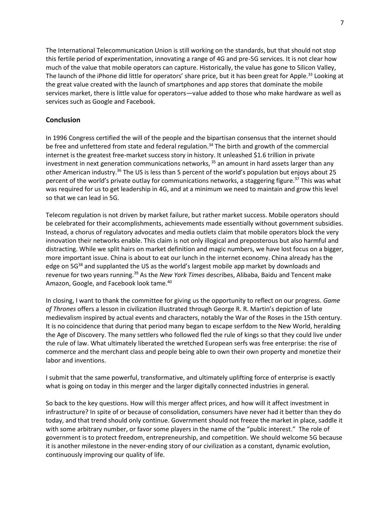The International Telecommunication Union is still working on the standards, but that should not stop this fertile period of experimentation, innovating a range of 4G and pre-5G services. It is not clear how much of the value that mobile operators can capture. Historically, the value has gone to Silicon Valley, The launch of the iPhone did little for operators' share price, but it has been great for Apple.<sup>33</sup> Looking at the great value created with the launch of smartphones and app stores that dominate the mobile services market, there is little value for operators—value added to those who make hardware as well as services such as Google and Facebook.

## **Conclusion**

In 1996 Congress certified the will of the people and the bipartisan consensus that the internet should be free and unfettered from state and federal regulation.<sup>34</sup> The birth and growth of the commercial internet is the greatest free-market success story in history. It unleashed \$1.6 trillion in private investment in next generation communications networks, <sup>35</sup> an amount in hard assets larger than any other American industry.<sup>36</sup> The US is less than 5 percent of the world's population but enjoys about 25 percent of the world's private outlay for communications networks, a staggering figure.<sup>37</sup> This was what was required for us to get leadership in 4G, and at a minimum we need to maintain and grow this level so that we can lead in 5G.

Telecom regulation is not driven by market failure, but rather market success. Mobile operators should be celebrated for their accomplishments, achievements made essentially without government subsidies. Instead, a chorus of regulatory advocates and media outlets claim that mobile operators block the very innovation their networks enable. This claim is not only illogical and preposterous but also harmful and distracting. While we split hairs on market definition and magic numbers, we have lost focus on a bigger, more important issue. China is about to eat our lunch in the internet economy. China already has the edge on 5G<sup>38</sup> and supplanted the US as the world's largest mobile app market by downloads and revenue for two years running.<sup>39</sup> As the *New York Times* describes, Alibaba, Baidu and Tencent make Amazon, Google, and Facebook look tame.<sup>40</sup>

In closing, I want to thank the committee for giving us the opportunity to reflect on our progress. *Game of Thrones* offers a lesson in civilization illustrated through George R. R. Martin's depiction of late medievalism inspired by actual events and characters, notably the War of the Roses in the 15th century. It is no coincidence that during that period many began to escape serfdom to the New World, heralding the Age of Discovery. The many settlers who followed fled the rule of kings so that they could live under the rule of law. What ultimately liberated the wretched European serfs was free enterprise: the rise of commerce and the merchant class and people being able to own their own property and monetize their labor and inventions.

I submit that the same powerful, transformative, and ultimately uplifting force of enterprise is exactly what is going on today in this merger and the larger digitally connected industries in general.

So back to the key questions. How will this merger affect prices, and how will it affect investment in infrastructure? In spite of or because of consolidation, consumers have never had it better than they do today, and that trend should only continue. Government should not freeze the market in place, saddle it with some arbitrary number, or favor some players in the name of the "public interest." The role of government is to protect freedom, entrepreneurship, and competition. We should welcome 5G because it is another milestone in the never-ending story of our civilization as a constant, dynamic evolution, continuously improving our quality of life.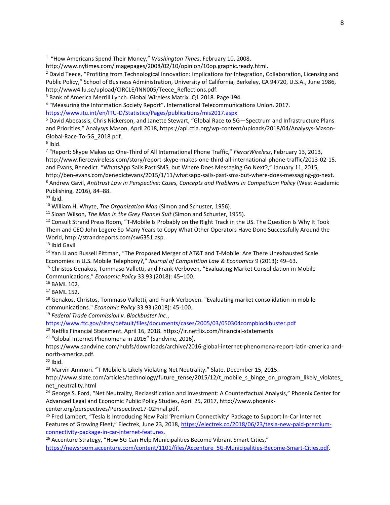<sup>4</sup> "Measuring the Information Society Report". International Telecommunications Union. 2017.

<https://www.itu.int/en/ITU-D/Statistics/Pages/publications/mis2017.aspx>

<sup>5</sup> David Abecassis, Chris Nickerson, and Janette Stewart, "Global Race to 5G—Spectrum and Infrastructure Plans and Priorities," Analysys Mason, April 2018, https://api.ctia.org/wp-content/uploads/2018/04/Analysys-Mason-Global-Race-To-5G\_2018.pdf.

<sup>6</sup> Ibid.

 $\overline{a}$ 

7 "Report: Skype Makes up One-Third of All International Phone Traffic," *FierceWireless*, February 13, 2013, http://www.fiercewireless.com/story/report-skype-makes-one-third-all-international-phone-traffic/2013-02-15. and Evans, Benedict. "WhatsApp Sails Past SMS, but Where Does Messaging Go Next?," January 11, 2015, http://ben-evans.com/benedictevans/2015/1/11/whatsapp-sails-past-sms-but-where-does-messaging-go-next. <sup>8</sup> Andrew Gavil, *Antitrust Law in Perspective: Cases, Concepts and Problems in Competition Policy* (West Academic Publishing, 2016), 84–88.

<sup>99</sup> Ibid.

<sup>10</sup> William H. Whyte, *The Organization Man* (Simon and Schuster, 1956).

<sup>11</sup> Sloan Wilson, *The Man in the Grey Flannel Suit* (Simon and Schuster, 1955).

<sup>12</sup> Consult Strand Press Room, "T-Mobile Is Probably on the Right Track in the US. The Question Is Why It Took Them and CEO John Legere So Many Years to Copy What Other Operators Have Done Successfully Around the World, http://strandreports.com/sw6351.asp.

<sup>13</sup> Ibid Gavil

<sup>14</sup> Yan Li and Russell Pittman, "The Proposed Merger of AT&T and T-Mobile: Are There Unexhausted Scale Economies in U.S. Mobile Telephony?," *Journal of Competition Law & Economics* 9 (2013): 49–63. <sup>15</sup> Christos Genakos, Tommaso Valletti, and Frank Verboven, "Evaluating Market Consolidation in Mobile

Communications," *Economic Policy* 33.93 (2018): 45–100.

<sup>16</sup> BAML 102.

<sup>17</sup> BAML 152.

<sup>18</sup> Genakos, Christos, Tommaso Valletti, and Frank Verboven. "Evaluating market consolidation in mobile communications." *Economic Policy* 33.93 (2018): 45-100.

<sup>19</sup> *Federal Trade Commission v. Blockbuster Inc.*,

<https://www.ftc.gov/sites/default/files/documents/cases/2005/03/050304compblockbuster.pdf>

<sup>20</sup> Netflix Financial Statement. April 16, 2018. https://ir.netflix.com/financial-statements

<sup>21</sup> "Global Internet Phenomena in 2016" (Sandvine, 2016),

https://www.sandvine.com/hubfs/downloads/archive/2016-global-internet-phenomena-report-latin-america-andnorth-america.pdf.

 $22$  Ibid.

<sup>23</sup> Marvin Ammori. "T-Mobile Is Likely Violating Net Neutrality." Slate. December 15, 2015.

http://www.slate.com/articles/technology/future\_tense/2015/12/t\_mobile\_s\_binge\_on\_program\_likely\_violates\_ net\_neutrality.html

<sup>24</sup> George S. Ford, "Net Neutrality, Reclassification and Investment: A Counterfactual Analysis," Phoenix Center for Advanced Legal and Economic Public Policy Studies, April 25, 2017, http://www.phoenixcenter.org/perspectives/Perspective17-02Final.pdf.

<sup>25</sup> Fred Lambert, "Tesla Is Introducing New Paid 'Premium Connectivity' Package to Support In-Car Internet Features of Growing Fleet," Electrek, June 23, 2018, [https://electrek.co/2018/06/23/tesla-new-paid-premium](https://electrek.co/2018/06/23/tesla-new-paid-premium-connectivity-package-in-car-internet-features)[connectivity-package-in-car-internet-features.](https://electrek.co/2018/06/23/tesla-new-paid-premium-connectivity-package-in-car-internet-features)

<sup>26</sup> Accenture Strategy, "How 5G Can Help Municipalities Become Vibrant Smart Cities," https://newsroom.accenture.com/content/1101/files/Accenture\_5G-Municipalities-Become-Smart-Cities.pdf.

<sup>1</sup> "How Americans Spend Their Money," *Washington Times*, February 10, 2008,

http://www.nytimes.com/imagepages/2008/02/10/opinion/10op.graphic.ready.html.

<sup>&</sup>lt;sup>2</sup> David Teece, "Profiting from Technological Innovation: Implications for Integration, Collaboration, Licensing and Public Policy," School of Business Administration, University of California, Berkeley, CA 94720, U.S.A., June 1986, http://www4.lu.se/upload/CIRCLE/INN005/Teece\_Reflections.pdf.

<sup>3</sup> Bank of America Merrill Lynch. Global Wireless Matrix. Q1 2018. Page 194